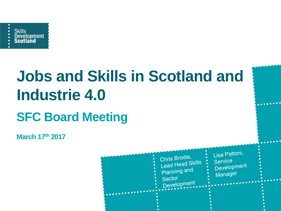

# **Jobs and Skills in Scotland and Industrie 4.0 SFC Board Meeting**

**March 17th 2017**



. . . . . . . .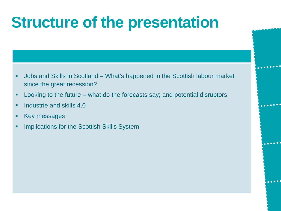### **Structure of the presentation**

- Jobs and Skills in Scotland What's happened in the Scottish labour market since the great recession?
- **-** Looking to the future what do the forecasts say; and potential disruptors
- $\blacksquare$  Industrie and skills 4.0
- Key messages
- Implications for the Scottish Skills System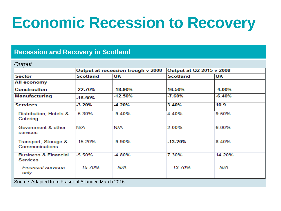### **Economic Recession to Recovery**

#### **Recession and Recovery in Scotland**

#### *Output*

|                                             | Output at recession trough v 2008 |          | Output at Q2 2015 v 2008 |          |
|---------------------------------------------|-----------------------------------|----------|--------------------------|----------|
| <b>Sector</b>                               | <b>Scotland</b>                   | UK       | <b>Scotland</b>          | UK       |
| All economy                                 |                                   |          |                          |          |
| <b>Construction</b>                         | -22.70%                           | -18.90%  | 16.50%                   | -4.00%   |
| <b>Manufacturing</b>                        | -16.50%                           | -12.50%  | -7.60%                   | $-6.40%$ |
| <b>Services</b>                             | $-3.20%$                          | -4.20%   | 3.40%                    | 10.9     |
| Distribution, Hotels &<br>Catering          | $-5.30%$                          | $-9.40%$ | 4.40%                    | 9.50%    |
| Government & other<br>services              | N/A                               | N/A      | 2.00%                    | 6.00%    |
| Transport, Storage &<br>Communications      | $-15.20%$                         | $-9.90%$ | $-13.20%$                | 8.40%    |
| <b>Business &amp; Financial</b><br>Services | $-5.50%$                          | $-4.80%$ | 7.30%                    | 14.20%   |
| <b>Financial services</b><br>only           | $-15.70%$                         | N/A      | $-13.70%$                | N/A      |

Source: Adapted from Fraser of Allander. March 2016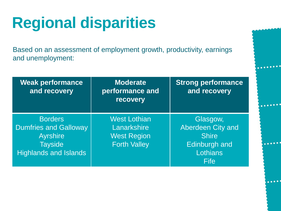## **Regional disparities**

Based on an assessment of employment growth, productivity, earnings and unemployment:

| <b>Weak performance</b><br>and recovery                                                                             | <b>Moderate</b><br>performance and<br>recovery                                  | <b>Strong performance</b><br>and recovery                                                 |
|---------------------------------------------------------------------------------------------------------------------|---------------------------------------------------------------------------------|-------------------------------------------------------------------------------------------|
| <b>Borders</b><br><b>Dumfries and Galloway</b><br><b>Ayrshire</b><br><b>Tayside</b><br><b>Highlands and Islands</b> | <b>West Lothian</b><br>Lanarkshire<br><b>West Region</b><br><b>Forth Valley</b> | Glasgow,<br>Aberdeen City and<br><b>Shire</b><br><b>Edinburgh and</b><br>Lothians<br>Fife |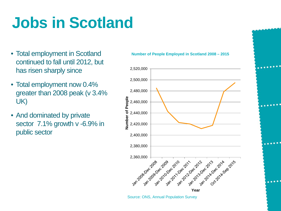### **Jobs in Scotland**

- Total employment in Scotland continued to fall until 2012, but has risen sharply since
- Total employment now 0.4% greater than 2008 peak (v 3.4% UK)
- And dominated by private sector 7.1% growth v -6.9% in public sector



Source: ONS, Annual Population Survey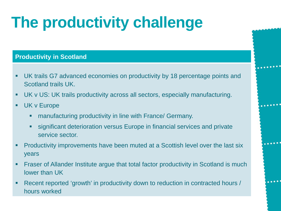## **The productivity challenge**

#### **Productivity in Scotland**

 UK trails G7 advanced economies on productivity by 18 percentage points and Scotland trails UK.

 $.........$ 

.....

- UK v US: UK trails productivity across all sectors, especially manufacturing.
- **UK v Europe** 
	- manufacturing productivity in line with France/ Germany.
	- significant deterioration versus Europe in financial services and private service sector.
- Productivity improvements have been muted at a Scottish level over the last six years
- Fraser of Allander Institute argue that total factor productivity in Scotland is much lower than UK
- Recent reported 'growth' in productivity down to reduction in contracted hours / hours worked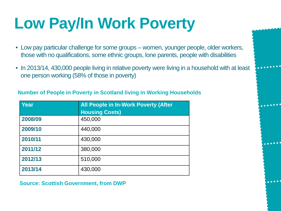## **Low Pay/In Work Poverty**

- Low pay particular challenge for some groups women, younger people, older workers, those with no qualifications, some ethnic groups, lone parents, people with disabilities
- In 2013/14, 430,000 people living in relative poverty were living in a household with at least one person working (58% of those in poverty)

 $\bullet\bullet\bullet\bullet\bullet$ 

#### **Number of People in Poverty in Scotland living in Working Households**

| Year    | <b>All People in In-Work Poverty (After</b> |  |  |
|---------|---------------------------------------------|--|--|
|         | <b>Housing Costs)</b>                       |  |  |
| 2008/09 | 450,000                                     |  |  |
| 2009/10 | 440,000                                     |  |  |
| 2010/11 | 430,000                                     |  |  |
| 2011/12 | 380,000                                     |  |  |
| 2012/13 | 510,000                                     |  |  |
| 2013/14 | 430,000                                     |  |  |

**Source: Scottish Government, from DWP**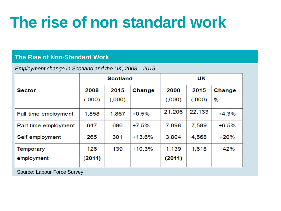### **The rise of non standard work**

#### **The Rise of Non-Standard Work**

*Employment change in Scotland and the UK, 2008 – 2015*

|                      | <b>Scotland</b> |         | UK       |        |        |         |
|----------------------|-----------------|---------|----------|--------|--------|---------|
| Sector               | 2008            | 2015    | Change   | 2008   | 2015   | Change  |
|                      | (0.000)         | (0.000) |          | (.000) | (000)  | %       |
| Full time employment | 1,858           | 1,867   | $+0.5%$  | 21,206 | 22,133 | $+4.3%$ |
| Part time employment | 647             | 696     | $+7.5%$  | 7,098  | 7,589  | $+6.5%$ |
| Self employment      | 265             | 301     | $+13.6%$ | 3,804  | 4,568  | $+20%$  |
| <b>Temporary</b>     | 126             | 139     | $+10.3%$ | 1,139  | 1,618  | $+42%$  |
| employment           | (2011)          |         |          | (2011) |        |         |

Source: Labour Force Survey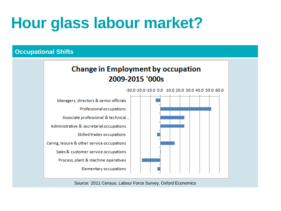### **Hour glass labour market?**

#### **Occupational Shifts**

### **Change in Employment by occupation** 2009-2015 '000s

Managers, directors & senior officials Professional occupations Associate professional & technical... Administrative & secretarial occupations Skilled trades occupations Caring, leisure & other service occupations Sales & customer service occupations Process, plant & machine operatives **Elementary occupations** 

-30.0-20.0-10.0 0.0 10.0 20.0 30.0 40.0 50.0 60.0

Source: 2011 Census, Labour Force Survey, Oxford Economics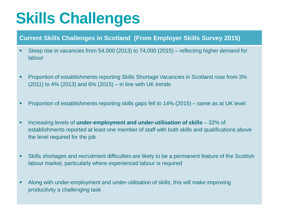### **Skills Challenges**

#### **Current Skills Challenges in Scotland (From Employer Skills Survey 2015)**

- Steep rise in vacancies from 54,000 (2013) to 74,000 (2015) reflecting higher demand for labour
- Proportion of establishments reporting Skills Shortage Vacancies in Scotland rose from 3% (2011) to 4% (2013) and 6% (2015) – in line with UK trends
- Proportion of establishments reporting skills gaps fell to 14% (2015) same as at UK level
- Increasing levels of **under-employment and under-utilisation of skills**  32% of establishments reported at least one member of staff with both skills and qualifications above the level required for the job
- Skills shortages and recruitment difficulties are likely to be a permanent feature of the Scottish labour market, particularly where experienced labour is required
- Along with under-employment and under-utilisation of skills, this will make improving productivity a challenging task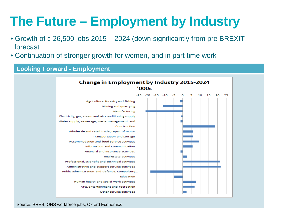### **The Future – Employment by Industry**

- Growth of c 26,500 jobs 2015 2024 (down significantly from pre BREXIT forecast
- Continuation of stronger growth for women, and in part time work

#### **Looking Forward - Employment**

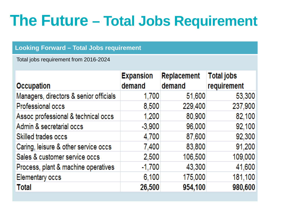### **The Future – Total Jobs Requirement**

#### **Looking Forward – Total Jobs requirement**

Total jobs requirement from 2016-2024

| <b>Occupation</b>                      | <b>Expansion</b><br>demand | <b>Replacement</b><br>demand | <b>Total jobs</b><br>requirement |
|----------------------------------------|----------------------------|------------------------------|----------------------------------|
| Managers, directors & senior officials | 1,700                      | 51,600                       | 53,300                           |
| Professional occs                      | 8,500                      | 229,400                      | 237,900                          |
| Assoc professional & technical occs    | 1,200                      | 80,900                       | 82,100                           |
| Admin & secretarial occs               | $-3,900$                   | 96,000                       | 92,100                           |
| Skilled trades occs                    | 4,700                      | 87,600                       | 92,300                           |
| Caring, leisure & other service occs   | 7,400                      | 83,800                       | 91,200                           |
| Sales & customer service occs          | 2,500                      | 106,500                      | 109,000                          |
| Process, plant & machine operatives    | $-1,700$                   | 43,300                       | 41,600                           |
| <b>Elementary occs</b>                 | 6,100                      | 175,000                      | 181,100                          |
| <b>Total</b>                           | 26,500                     | 954,100                      | 980,600                          |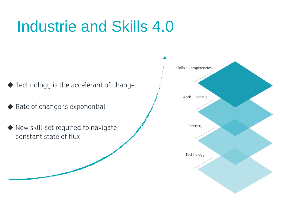### Industrie and Skills 4.0

- ◆ Technology is the accelerant of change
- Rate of change is exponential
- New skill-set required to navigate constant state of flux

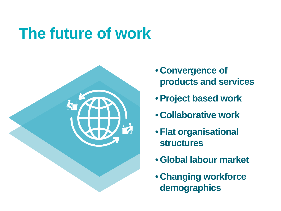### **The future of work**



- **Convergence of products and services**
- •**Project based work**
- **Collaborative work**
- •**Flat organisational structures**
- •**Global labour market**
- **Changing workforce demographics**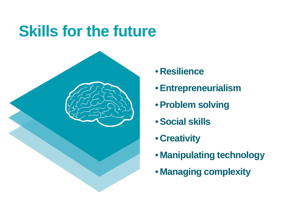### **Skills for the future**



- **Resilience**
- •**Entrepreneurialism**
- •**Problem solving**
- •**Social skills**
- **Creativity**
- **Manipulating technology**
- **Managing complexity**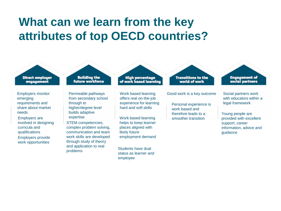### **What can we learn from the key attributes of top OECD countries?**

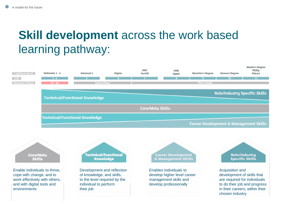### **Skill development** across the work based learning pathway:





Core/Meta

**Skills** 

**Technical/Functional Knowledge** 

Development and reflection of knowledge, and skills, to the level required by the individual to perform their job

**Career Development** & Management Skills

Enables individuals to develop higher level career management skills and develop professionally

#### **Role/Industry Specific Skills**

Acquisition and development of skills that are required for individuals to do their job and progress in their careers, within their chosen industry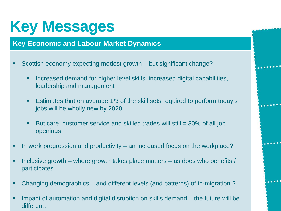### **Key Messages**

#### . **Key Economic and Labour Market Dynamics**

- Scottish economy expecting modest growth but significant change?
	- **Increased demand for higher level skills, increased digital capabilities,** leadership and management
	- Estimates that on average 1/3 of the skill sets required to perform today's jobs will be wholly new by 2020

. . . . . . . .

 $.........$ 

- But care, customer service and skilled trades will still  $=$  30% of all job openings
- In work progression and productivity an increased focus on the workplace?
- Inclusive growth where growth takes place matters as does who benefits  $/$ participates
- Changing demographics and different levels (and patterns) of in-migration ?
- Impact of automation and digital disruption on skills demand the future will be different…